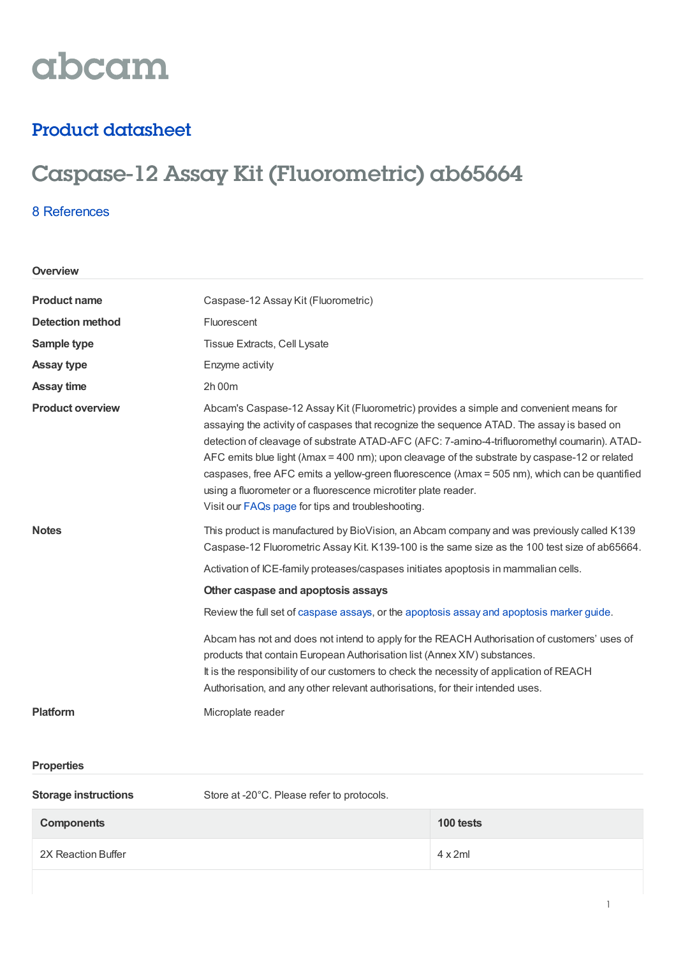# abcam

### Product datasheet

## Caspase-12 Assay Kit (Fluorometric) ab65664

#### 8 [References](https://www.abcam.com/caspase-12-assay-kit-fluorometric-ab65664.html#description_references)

**Overview**

| <b>Components</b>           | 100 tests                                                                                                                                                                                                                                                                                                                                                                                                                                                                                                                              |
|-----------------------------|----------------------------------------------------------------------------------------------------------------------------------------------------------------------------------------------------------------------------------------------------------------------------------------------------------------------------------------------------------------------------------------------------------------------------------------------------------------------------------------------------------------------------------------|
| <b>Storage instructions</b> | Store at -20°C. Please refer to protocols.                                                                                                                                                                                                                                                                                                                                                                                                                                                                                             |
| <b>Properties</b>           |                                                                                                                                                                                                                                                                                                                                                                                                                                                                                                                                        |
| <b>Platform</b>             | Microplate reader                                                                                                                                                                                                                                                                                                                                                                                                                                                                                                                      |
|                             | Abcam has not and does not intend to apply for the REACH Authorisation of customers' uses of<br>products that contain European Authorisation list (Annex XIV) substances.<br>It is the responsibility of our customers to check the necessity of application of REACH<br>Authorisation, and any other relevant authorisations, for their intended uses.                                                                                                                                                                                |
|                             | Review the full set of caspase assays, or the apoptosis assay and apoptosis marker guide.                                                                                                                                                                                                                                                                                                                                                                                                                                              |
|                             | Other caspase and apoptosis assays                                                                                                                                                                                                                                                                                                                                                                                                                                                                                                     |
|                             | Caspase-12 Fluorometric Assay Kit. K139-100 is the same size as the 100 test size of ab65664.<br>Activation of ICE-family proteases/caspases initiates apoptosis in mammalian cells.                                                                                                                                                                                                                                                                                                                                                   |
| <b>Notes</b>                | This product is manufactured by BioVision, an Abcam company and was previously called K139                                                                                                                                                                                                                                                                                                                                                                                                                                             |
|                             | assaying the activity of caspases that recognize the sequence ATAD. The assay is based on<br>detection of cleavage of substrate ATAD-AFC (AFC: 7-amino-4-trifluoromethyl coumarin). ATAD-<br>AFC emits blue light ( $\lambda$ max = 400 nm); upon cleavage of the substrate by caspase-12 or related<br>caspases, free AFC emits a yellow-green fluorescence ( $\lambda$ max = 505 nm), which can be quantified<br>using a fluorometer or a fluorescence microtiter plate reader.<br>Visit our FAQs page for tips and troubleshooting. |
| <b>Product overview</b>     | Abcam's Caspase-12 Assay Kit (Fluorometric) provides a simple and convenient means for                                                                                                                                                                                                                                                                                                                                                                                                                                                 |
| <b>Assay time</b>           | 2h 00m                                                                                                                                                                                                                                                                                                                                                                                                                                                                                                                                 |
| <b>Assay type</b>           | Enzyme activity                                                                                                                                                                                                                                                                                                                                                                                                                                                                                                                        |
| Sample type                 | Tissue Extracts, Cell Lysate                                                                                                                                                                                                                                                                                                                                                                                                                                                                                                           |
| <b>Detection method</b>     | Fluorescent                                                                                                                                                                                                                                                                                                                                                                                                                                                                                                                            |
| <b>Product name</b>         | Caspase-12 Assay Kit (Fluorometric)                                                                                                                                                                                                                                                                                                                                                                                                                                                                                                    |

2X Reaction Buffer 4 x 2ml